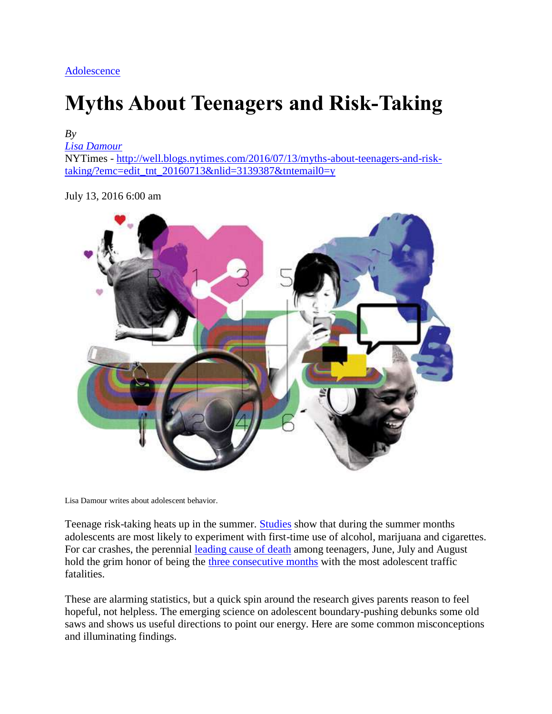### [Adolescence](http://well.blogs.nytimes.com/category/family/adolescence/?module=BlogCategory&version=Blog%20Post&action=Click&contentCollection=Health&pgtype=Blogs®ion=Header)

# **Myths About Teenagers and Risk-Taking**

 $By$ 

*[Lisa Damour](http://well.blogs.nytimes.com/author/lisa-damour/)*

NYTimes - [http://well.blogs.nytimes.com/2016/07/13/myths-about-teenagers-and-risk](http://well.blogs.nytimes.com/2016/07/13/myths-about-teenagers-and-risk-taking/?emc=edit_tnt_20160713&nlid=3139387&tntemail0=y)[taking/?emc=edit\\_tnt\\_20160713&nlid=3139387&tntemail0=y](http://well.blogs.nytimes.com/2016/07/13/myths-about-teenagers-and-risk-taking/?emc=edit_tnt_20160713&nlid=3139387&tntemail0=y)

July 13, 2016 6:00 am



Lisa Damour writes about adolescent behavior.

Teenage risk-taking heats up in the summer. [Studies](http://archive.samhsa.gov/data/2k12/NSDUH080/SR080InitiationSubstanceUse2012.pdf) show that during the summer months adolescents are most likely to experiment with first-time use of alcohol, marijuana and cigarettes. For car crashes, the perennial [leading cause of death](http://www.cdc.gov/motorvehiclesafety/teen_drivers/) among teenagers, June, July and August hold the grim honor of being the [three consecutive months](http://www.iihs.org/iihs/topics/t/teenagers/fatalityfacts/teenagers#When-teenagers-died) with the most adolescent traffic fatalities.

These are alarming statistics, but a quick spin around the research gives parents reason to feel hopeful, not helpless. The emerging science on adolescent boundary-pushing debunks some old saws and shows us useful directions to point our energy. Here are some common misconceptions and illuminating findings.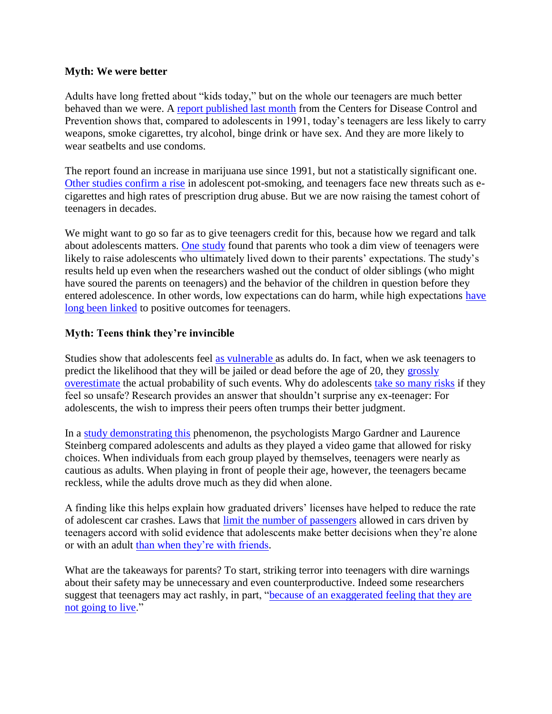### **Myth: We were better**

Adults have long fretted about "kids today," but on the whole our teenagers are much better behaved than we were. A [report published last month](http://www.cdc.gov/healthyyouth/data/yrbs/index.htm) from the Centers for Disease Control and Prevention shows that, compared to adolescents in 1991, today's teenagers are less likely to carry weapons, smoke cigarettes, try alcohol, binge drink or have sex. And they are more likely to wear seatbelts and use condoms.

The report found an increase in marijuana use since 1991, but not a statistically significant one. [Other studies confirm a rise](http://www.sciencedirect.com/science/article/pii/S1054139X15001615) in adolescent pot-smoking, and teenagers face new threats such as ecigarettes and high rates of prescription drug abuse. But we are now raising the tamest cohort of teenagers in decades.

We might want to go so far as to give teenagers credit for this, because how we regard and talk about adolescents matters. [One study](http://link.springer.com/article/10.1007%2Fs10964-005-3206-x) found that parents who took a dim view of teenagers were likely to raise adolescents who ultimately lived down to their parents' expectations. The study's results held up even when the researchers washed out the conduct of older siblings (who might have soured the parents on teenagers) and the behavior of the children in question before they entered adolescence. In other words, low expectations can do harm, while high expectations [have](http://link.springer.com/article/10.1007%2Fs10964-005-3206-x)  [long been linked](http://link.springer.com/article/10.1007%2Fs10964-005-3206-x) to positive outcomes for teenagers.

# **Myth: Teens think they're invincible**

Studies show that adolescents feel [as vulnerable a](https://www.researchgate.net/profile/Baruch_Fischhoff/publication/14755877_Adolescent_Invulnerability/links/54db41a80cf2ba88a68f92f3.pdf)s adults do. In fact, when we ask teenagers to predict the likelihood that they will be jailed or dead before the age of 20, they [grossly](http://www.artisresearch.com/articles/fischhoff_2008_assessing_%20adolescent_decision_making_competence.pdf)  [overestimate](http://www.artisresearch.com/articles/fischhoff_2008_assessing_%20adolescent_decision_making_competence.pdf) the actual probability of such events. Why do adolescents [take so many risks](https://www.researchgate.net/profile/Dustin_Albert/publication/23463848_Age_Differences_in_Sensation_Seeking_and_Impulsivity_as_Indexed_by_Behavior_and_Self-Report_Evidence_for_a_Dual_Systems_Model/links/0f3175374e17714bb9000000.pdf) if they feel so unsafe? Research provides an answer that shouldn't surprise any ex-teenager: For adolescents, the wish to impress their peers often trumps their better judgment.

In a [study demonstrating this](http://facultynh.syr.edu/bjsheeha/Research%20Projects/music%20download%20research/music%20download%20project/articles%20for%20music%20download/GardnerSteinberg.pdf) phenomenon, the psychologists Margo Gardner and Laurence Steinberg compared adolescents and adults as they played a video game that allowed for risky choices. When individuals from each group played by themselves, teenagers were nearly as cautious as adults. When playing in front of people their age, however, the teenagers became reckless, while the adults drove much as they did when alone.

A finding like this helps explain how graduated drivers' licenses have helped to reduce the rate of adolescent car crashes. Laws that [limit the number of passengers](http://jama.jamanetwork.com/article.aspx?articleid=192524) allowed in cars driven by teenagers accord with solid evidence that adolescents make better decisions when they're alone or with an adult than when [they're with friends.](http://www.ncbi.nlm.nih.gov/pmc/articles/PMC3075496/)

What are the takeaways for parents? To start, striking terror into teenagers with dire warnings about their safety may be unnecessary and even counterproductive. Indeed some researchers suggest that teenagers may act rashly, in part, ["because of an exaggerated feeling that they are](https://www.researchgate.net/profile/Waendi_Bruine_de_Bruin/publication/12338627_Teen_expectations_for_significant_life_events/links/0046351a460dc02e6a000000.pdf)  [not going to live.](https://www.researchgate.net/profile/Waendi_Bruine_de_Bruin/publication/12338627_Teen_expectations_for_significant_life_events/links/0046351a460dc02e6a000000.pdf)"